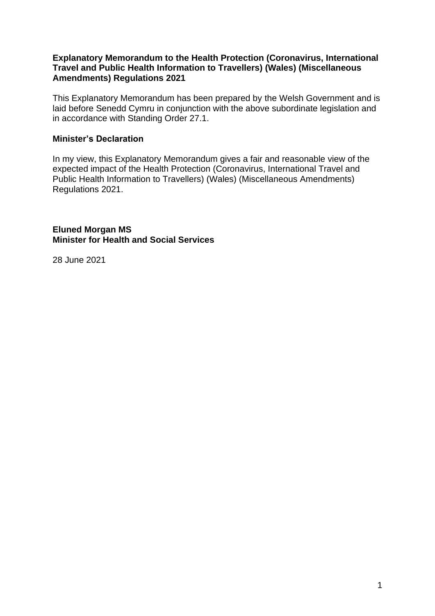#### **Explanatory Memorandum to the Health Protection (Coronavirus, International Travel and Public Health Information to Travellers) (Wales) (Miscellaneous Amendments) Regulations 2021**

This Explanatory Memorandum has been prepared by the Welsh Government and is laid before Senedd Cymru in conjunction with the above subordinate legislation and in accordance with Standing Order 27.1.

#### **Minister's Declaration**

In my view, this Explanatory Memorandum gives a fair and reasonable view of the expected impact of the Health Protection (Coronavirus, International Travel and Public Health Information to Travellers) (Wales) (Miscellaneous Amendments) Regulations 2021.

**Eluned Morgan MS Minister for Health and Social Services**

28 June 2021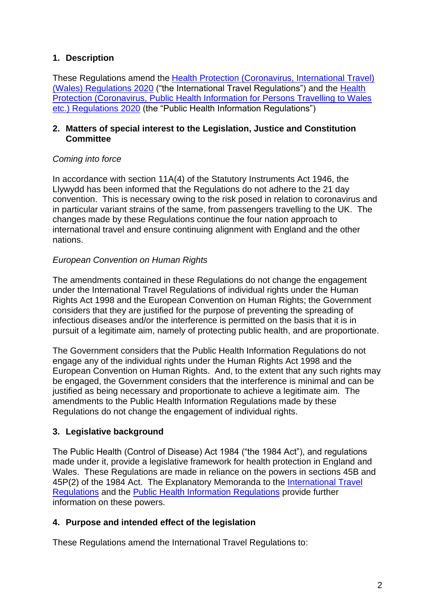## **1. Description**

These Regulations amend the [Health Protection \(Coronavirus, International Travel\)](https://www.legislation.gov.uk/wsi/2020/574/contents)  [\(Wales\) Regulations 2020](https://www.legislation.gov.uk/wsi/2020/574/contents) ("the International Travel Regulations") and the [Health](https://www.legislation.gov.uk/wsi/2020/595/contents/made)  [Protection \(Coronavirus, Public Health Information for Persons Travelling to Wales](https://www.legislation.gov.uk/wsi/2020/595/contents/made)  [etc.\) Regulations 2020](https://www.legislation.gov.uk/wsi/2020/595/contents/made) (the "Public Health Information Regulations")

#### **2. Matters of special interest to the Legislation, Justice and Constitution Committee**

## *Coming into force*

In accordance with section 11A(4) of the Statutory Instruments Act 1946, the Llywydd has been informed that the Regulations do not adhere to the 21 day convention. This is necessary owing to the risk posed in relation to coronavirus and in particular variant strains of the same, from passengers travelling to the UK. The changes made by these Regulations continue the four nation approach to international travel and ensure continuing alignment with England and the other nations.

## *European Convention on Human Rights*

The amendments contained in these Regulations do not change the engagement under the International Travel Regulations of individual rights under the Human Rights Act 1998 and the European Convention on Human Rights; the Government considers that they are justified for the purpose of preventing the spreading of infectious diseases and/or the interference is permitted on the basis that it is in pursuit of a legitimate aim, namely of protecting public health, and are proportionate.

The Government considers that the Public Health Information Regulations do not engage any of the individual rights under the Human Rights Act 1998 and the European Convention on Human Rights. And, to the extent that any such rights may be engaged, the Government considers that the interference is minimal and can be justified as being necessary and proportionate to achieve a legitimate aim. The amendments to the Public Health Information Regulations made by these Regulations do not change the engagement of individual rights.

## **3. Legislative background**

The Public Health (Control of Disease) Act 1984 ("the 1984 Act"), and regulations made under it, provide a legislative framework for health protection in England and Wales. These Regulations are made in reliance on the powers in sections 45B and 45P(2) of the 1984 Act. The Explanatory Memoranda to the [International Travel](https://business.senedd.wales/documents/s101833/EM%20SL5556%20-%20The%20Health%20Protection%20Coronavirus%20International%20Travel%20Wales%20Regulations%202020.pdf)  [Regulations](https://business.senedd.wales/documents/s101833/EM%20SL5556%20-%20The%20Health%20Protection%20Coronavirus%20International%20Travel%20Wales%20Regulations%202020.pdf) and the [Public Health Information Regulations](https://business.senedd.wales/documents/s102232/EM%20SL5559%20-%20The%20Health%20Protection%20Coronavirus%20Public%20Health%20Information%20for%20Persons%20Travelling%20t.pdf) provide further information on these powers.

## **4. Purpose and intended effect of the legislation**

These Regulations amend the International Travel Regulations to: